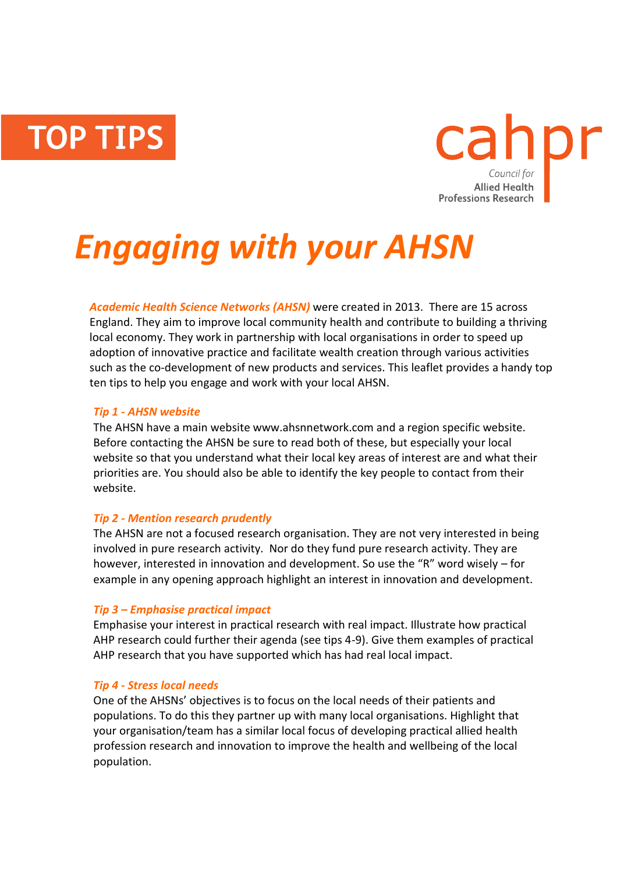**TOP TIPS** 



# *Engaging with your AHSN*

*Academic Health Science Networks (AHSN)* were created in 2013. There are 15 across England. They aim to improve local community health and contribute to building a thriving local economy. They work in partnership with local organisations in order to speed up adoption of innovative practice and facilitate wealth creation through various activities such as the co-development of new products and services. This leaflet provides a handy top ten tips to help you engage and work with your local AHSN.

## *Tip 1 - AHSN website*

The AHSN have a main website www.ahsnnetwork.com and a region specific website. Before contacting the AHSN be sure to read both of these, but especially your local website so that you understand what their local key areas of interest are and what their priorities are. You should also be able to identify the key people to contact from their website.

# *Tip 2 - Mention research prudently*

The AHSN are not a focused research organisation. They are not very interested in being involved in pure research activity. Nor do they fund pure research activity. They are however, interested in innovation and development. So use the "R" word wisely – for example in any opening approach highlight an interest in innovation and development.

## *Tip 3 – Emphasise practical impact*

Emphasise your interest in practical research with real impact. Illustrate how practical AHP research could further their agenda (see tips 4-9). Give them examples of practical AHP research that you have supported which has had real local impact.

## *Tip 4 - Stress local needs*

One of the AHSNs' objectives is to focus on the local needs of their patients and populations. To do this they partner up with many local organisations. Highlight that your organisation/team has a similar local focus of developing practical allied health profession research and innovation to improve the health and wellbeing of the local population.